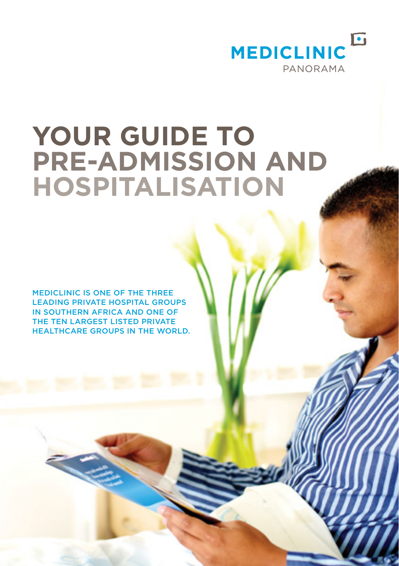

# **YOUR GUIDE TO PRE-ADMISSION AND HOSPITALISATION**

MEDICLINIC IS ONE OF THE THREE LEADING PRIVATE HOSPITAL GROUPS IN SOUTHERN AFRICA AND ONE OF THE TEN LARGEST LISTED PRIVATE HEALTHCARE GROUPS IN THE WORLD.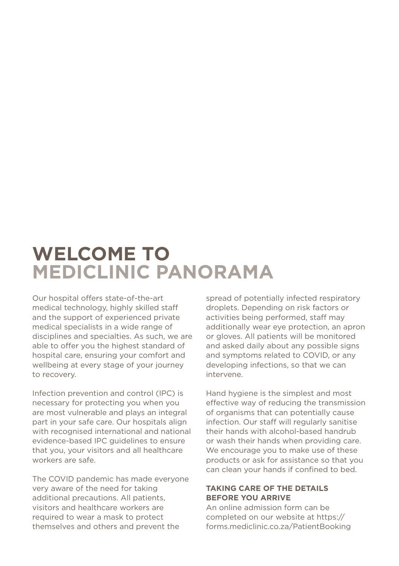# **WELCOME TO MEDICLINIC PANORAMA**

Our hospital offers state-of-the-art medical technology, highly skilled staff and the support of experienced private medical specialists in a wide range of disciplines and specialties. As such, we are able to offer you the highest standard of hospital care, ensuring your comfort and wellbeing at every stage of your journey to recovery.

Infection prevention and control (IPC) is necessary for protecting you when you are most vulnerable and plays an integral part in your safe care. Our hospitals align with recognised international and national evidence-based IPC guidelines to ensure that you, your visitors and all healthcare workers are safe.

The COVID pandemic has made everyone very aware of the need for taking additional precautions. All patients, visitors and healthcare workers are required to wear a mask to protect themselves and others and prevent the

spread of potentially infected respiratory droplets. Depending on risk factors or activities being performed, staff may additionally wear eye protection, an apron or gloves. All patients will be monitored and asked daily about any possible signs and symptoms related to COVID, or any developing infections, so that we can intervene.

Hand hygiene is the simplest and most effective way of reducing the transmission of organisms that can potentially cause infection. Our staff will regularly sanitise their hands with alcohol-based handrub or wash their hands when providing care. We encourage you to make use of these products or ask for assistance so that you can clean your hands if confined to bed.

# **TAKING CARE OF THE DETAILS BEFORE YOU ARRIVE**

An online admission form can be completed on our website at [https://](https://forms.mediclinic.co.za/PatientBooking) [forms.mediclinic.co.za/PatientBooking](https://forms.mediclinic.co.za/PatientBooking)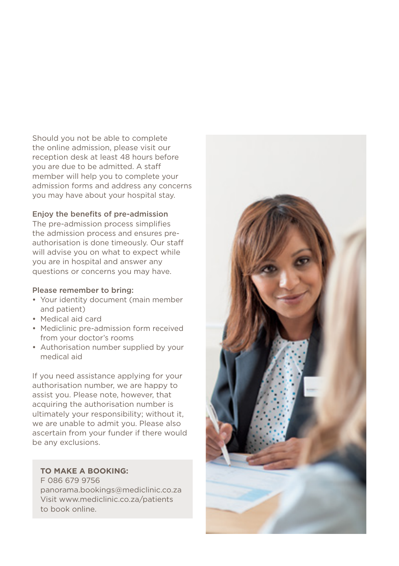Should you not be able to complete the online admission, please visit our reception desk at least 48 hours before you are due to be admitted. A staff member will help you to complete your admission forms and address any concerns you may have about your hospital stay.

#### Enjoy the benefits of pre-admission

The pre-admission process simplifies the admission process and ensures preauthorisation is done timeously. Our staff will advise you on what to expect while you are in hospital and answer any questions or concerns you may have.

#### Please remember to bring:

- Your identity document (main member and patient)
- Medical aid card
- Mediclinic pre-admission form received from your doctor's rooms
- Authorisation number supplied by your medical aid

If you need assistance applying for your authorisation number, we are happy to assist you. Please note, however, that acquiring the authorisation number is ultimately your responsibility; without it, we are unable to admit you. Please also ascertain from your funder if there would be any exclusions.

#### **TO MAKE A BOOKING:**

F 086 679 9756 panorama.bookings@mediclinic.co.za Visit www.mediclinic.co.za/patients to book online.

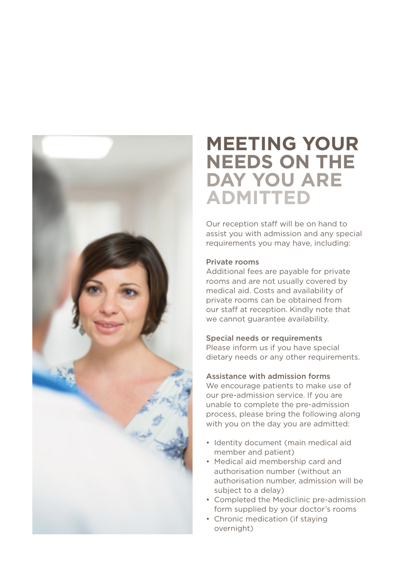

# **MEETING YOUR NEEDS ON THE DAY YOU ARE ADMITTED**

Our reception staff will be on hand to assist you with admission and any special requirements you may have, including:

# Private rooms

Additional fees are payable for private rooms and are not usually covered by medical aid. Costs and availability of private rooms can be obtained from our staff at reception. Kindly note that we cannot quarantee availability.

#### Special needs or requirements

Please inform us if you have special dietary needs or any other requirements.

### Assistance with admission forms

We encourage patients to make use of our pre-admission service. If you are unable to complete the pre-admission process, please bring the following along with you on the day you are admitted:

- Identity document (main medical aid member and patient)
- Medical aid membership card and authorisation number (without an authorisation number, admission will be subject to a delay)
- Completed the Mediclinic pre-admission form supplied by your doctor's rooms
- Chronic medication (if staying overnight)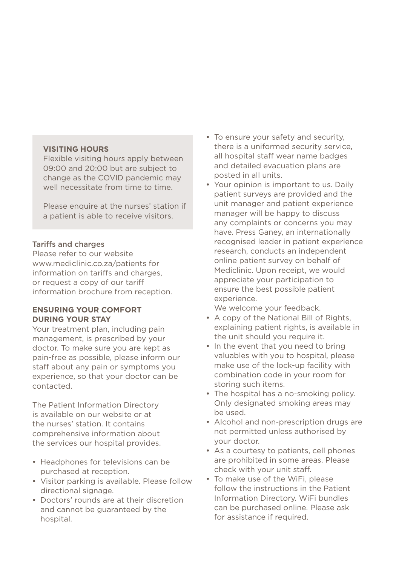#### **VISITING HOURS**

Flexible visiting hours apply between 09:00 and 20:00 but are subject to change as the COVID pandemic may well necessitate from time to time.

Please enquire at the nurses' station if a patient is able to receive visitors.

#### Tariffs and charges

Please refer to our website www.mediclinic.co.za/patients for information on tariffs and charges, or request a copy of our tariff information brochure from reception.

### **ENSURING YOUR COMFORT DURING YOUR STAY**

Your treatment plan, including pain management, is prescribed by your doctor. To make sure you are kept as pain-free as possible, please inform our staff about any pain or symptoms you experience, so that your doctor can be contacted.

The Patient Information Directory is available on our website or at the nurses' station. It contains comprehensive information about the services our hospital provides.

- Headphones for televisions can be purchased at reception.
- Visitor parking is available. Please follow directional signage.
- Doctors' rounds are at their discretion and cannot be guaranteed by the hospital.
- To ensure your safety and security, there is a uniformed security service, all hospital staff wear name badges and detailed evacuation plans are posted in all units.
- Your opinion is important to us. Daily patient surveys are provided and the unit manager and patient experience manager will be happy to discuss any complaints or concerns you may have. Press Ganey, an internationally recognised leader in patient experience research, conducts an independent online patient survey on behalf of Mediclinic. Upon receipt, we would appreciate your participation to ensure the best possible patient experience.

We welcome your feedback.

- A copy of the National Bill of Rights, explaining patient rights, is available in the unit should you require it.
- In the event that you need to bring valuables with you to hospital, please make use of the lock-up facility with combination code in your room for storing such items.
- The hospital has a no-smoking policy. Only designated smoking areas may be used.
- Alcohol and non-prescription drugs are not permitted unless authorised by your doctor.
- As a courtesy to patients, cell phones are prohibited in some areas. Please check with your unit staff.
- To make use of the WiFi, please follow the instructions in the Patient Information Directory. WiFi bundles can be purchased online. Please ask for assistance if required.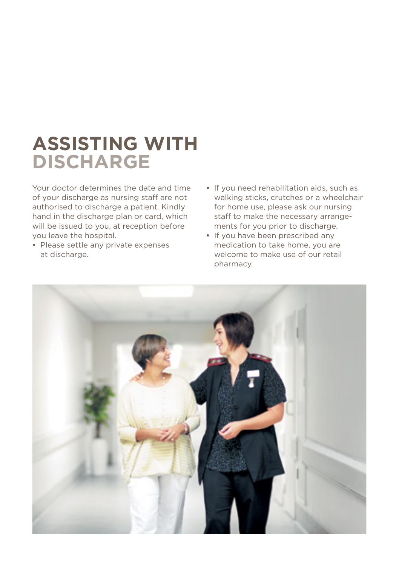# **ASSISTING WITH DISCHARGE**

Your doctor determines the date and time of your discharge as nursing staff are not authorised to discharge a patient. Kindly hand in the discharge plan or card, which will be issued to you, at reception before you leave the hospital.

- Please settle any private expenses at discharge.
- **•** If you need rehabilitation aids, such as walking sticks, crutches or a wheelchair for home use, please ask our nursing staff to make the necessary arrangements for you prior to discharge.
- **•** If you have been prescribed any medication to take home, you are welcome to make use of our retail pharmacy.

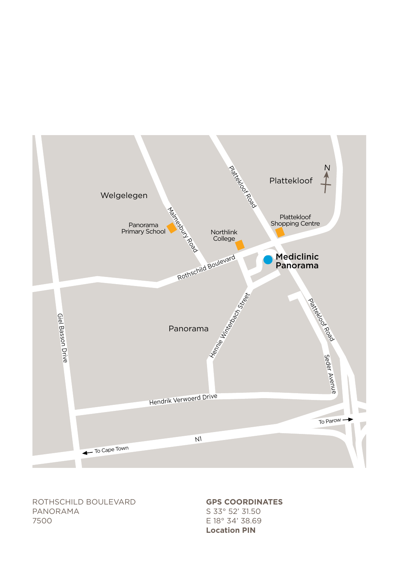ROTHSCHILD BOULEVARD PANORAMA 7500

**Location [PIN](https://g.page/MediclinicPanorama?share)**

**GPS COORDINATES** S 33° 52' 31.50 E 18° 34' 38.69